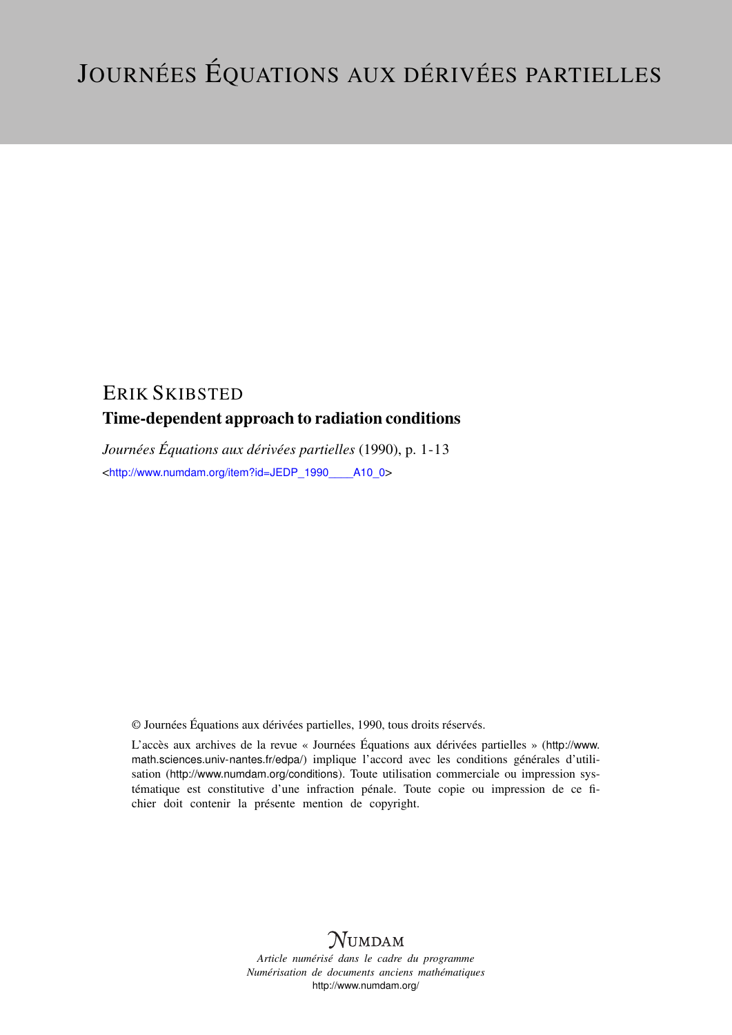# ERIK SKIBSTED

# Time-dependent approach to radiation conditions

*Journées Équations aux dérivées partielles* (1990), p. 1-13 <[http://www.numdam.org/item?id=JEDP\\_1990\\_\\_\\_\\_A10\\_0](http://www.numdam.org/item?id=JEDP_1990____A10_0)>

© Journées Équations aux dérivées partielles, 1990, tous droits réservés.

L'accès aux archives de la revue « Journées Équations aux dérivées partielles » ([http://www.](http://www.math.sciences.univ-nantes.fr/edpa/) [math.sciences.univ-nantes.fr/edpa/](http://www.math.sciences.univ-nantes.fr/edpa/)) implique l'accord avec les conditions générales d'utilisation (<http://www.numdam.org/conditions>). Toute utilisation commerciale ou impression systématique est constitutive d'une infraction pénale. Toute copie ou impression de ce fichier doit contenir la présente mention de copyright.



*Article numérisé dans le cadre du programme Numérisation de documents anciens mathématiques* <http://www.numdam.org/>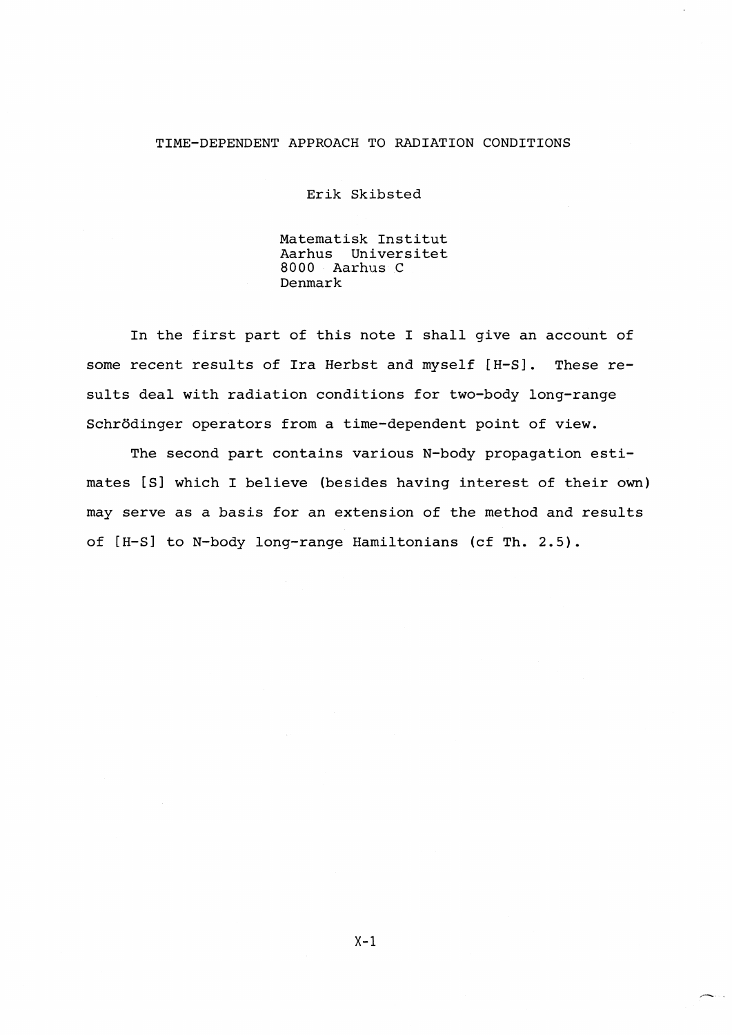### TIME-DEPENDENT APPROACH TO RADIATION CONDITIONS

Erik Skibsted

Matematisk Institut Aarhus Universitet 8000 Aarhus C Denmark

In the first part of this note I shall give an account of some recent results of Ira Herbst and myself [H-S] . These results deal with radiation conditions for two-body long-range Schrödinger operators from a time-dependent point of view.

The second part contains various N-body propagation estimates [S] which I believe (besides having interest of their own) may serve as a basis for an extension of the method and results of [H-S] to N-body long-range Hamiltonians (cf Th. 2.5) .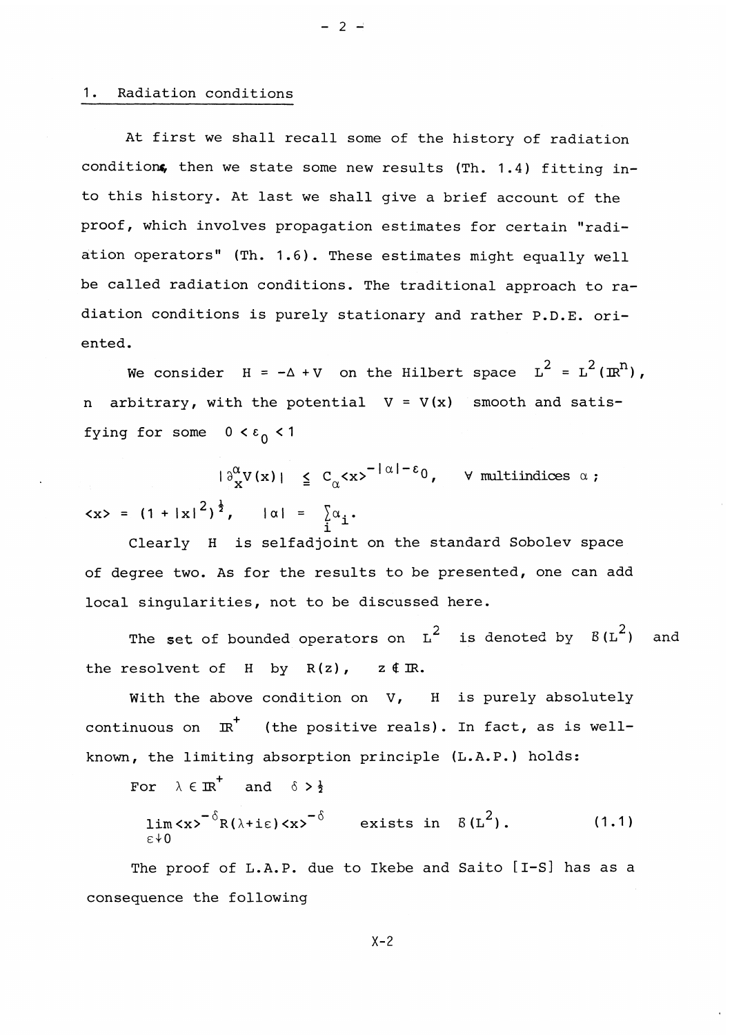#### 1. Radiation conditions

At first we shall recall some of the history of radiation conditions, then we state some new results (Th. 1.4) fitting into this history. At last we shall give a brief account of the proof, which involves propagation estimates for certain "radiation operators" (Th. 1.6) . These estimates might equally well be called radiation conditions. The traditional approach to radiation conditions is purely stationary and rather P.D.E. oriented.

 $- 2 -$ 

We consider  $H = -\Delta + V$  on the Hilbert space  $L^2 = L^2(\mathbb{R}^n)$ , arbitrary, with the potential  $V = V(x)$  smooth and satisfying for some  $0 < \varepsilon_0 < 1$ 

 $|\partial^{\alpha}_{\mathbf{x}}V(\mathbf{x})| \leq C_{\alpha} \langle \mathbf{x} \rangle^{-|\alpha|-\epsilon_0}, \quad \forall \text{ multipindices } \alpha ;$  $\langle x \rangle = (1 + |x|^2)^{\frac{1}{2}}$ ,  $|\alpha| = \sum_{i=1}^{\infty} \alpha_i$ .

Clearly H is selfadjoint on the standard Sobolev space of degree two. As for the results to be presented, one can add local singularities, not to be discussed here.

The set of bounded operators on  $L^2$  is denoted by  $B(L^2)$  and the resolvent of H by  $R(z)$ ,  $z \notin \mathbb{R}$ .

With the above condition on  $V$ , H is purely absolutely continuous on *JR^* (the positive reals). In fact, as is wellknown, the limiting absorption principle (L.A.P. ) holds:

For  $\lambda \in \mathbb{R}^+$  and  $\delta > \frac{1}{2}$ 

$$
\lim_{\varepsilon \neq 0} \langle x \rangle^{-\delta} R(\lambda + i \varepsilon) \langle x \rangle^{-\delta} \qquad \text{exists in} \quad B(L^2).
$$
 (1.1)

The proof of L.A.P. due to Ikebe and Saito [I-S] has as a consequence the following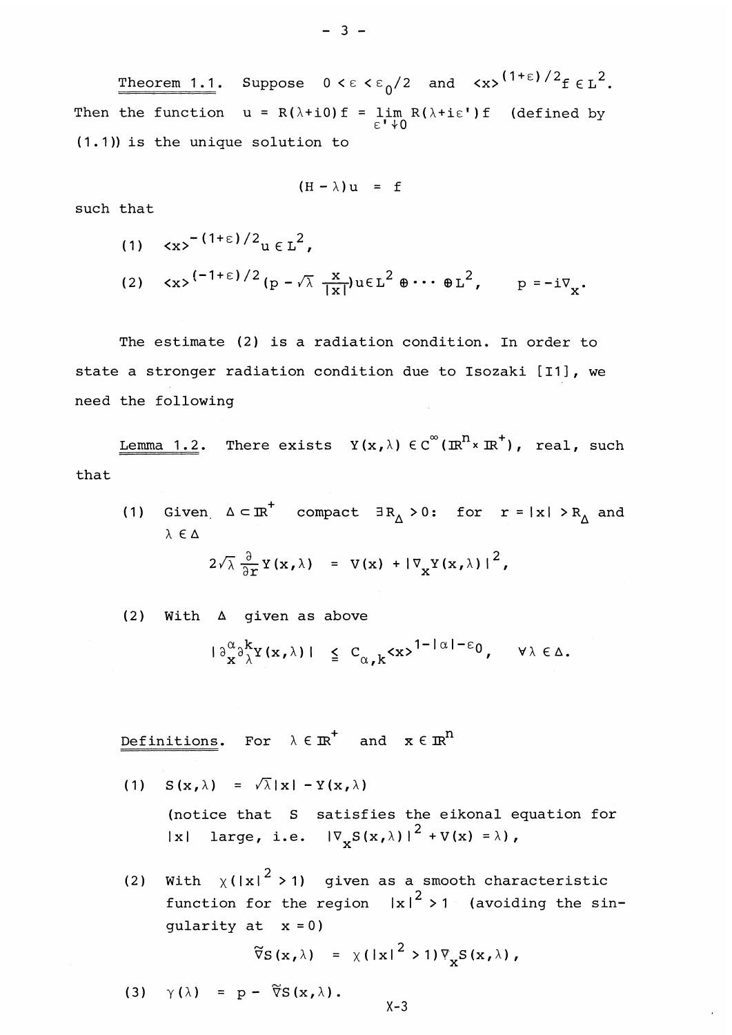Theorem 1.1. Suppose  $0 < \epsilon < \epsilon_0/2$  and  $\langle x \rangle^{(1+\epsilon)/2} f \epsilon L^2$ . Then the function  $u = R(\lambda + i0) f = \lim_{h \to \infty} R(\lambda + i\varepsilon') f$  (defined by  $E_1 \uparrow C$ (1.1)) is the unique solution to

$$
(H - \lambda) u = f
$$

such that

- (1)  $\langle x \rangle^{-1+\epsilon}$  /2<sub>11  $\epsilon$  I<sup>2</sup>.</sub>
- (2)  $\langle x \rangle^{(-1+\epsilon)/2} (p \sqrt{\lambda} \frac{x}{|x|}) u \in L^2 \oplus \cdots \oplus L^2$ ,  $p = -i \nabla$

The estimate (2) is a radiation condition. In order to state a stronger radiation condition due to Isozaki [I1], we need the following

Lemma 1.2. There exists  $Y(x, \lambda) \in C^\infty(\mathbb{R}^n \times \mathbb{R}^+)$ , real, such that

(1) Given  $\Delta \subset \mathbb{R}^+$  compact  $\exists R_\Delta>0$ : for  $r=|x| > R_\Delta$  and  $\lambda \in \Delta$ 

$$
2\sqrt{\lambda} \frac{\partial}{\partial x} Y(x,\lambda) = V(x) + |\nabla_X Y(x,\lambda)|^2,
$$

(2) With A given as above

$$
|\partial_{x}^{\alpha}\partial_{\lambda}^{k}Y(x,\lambda)| \leq C_{\alpha,k} \langle x \rangle^{1-|\alpha|-\epsilon_{0}}, \quad \forall \lambda \in \Delta.
$$

Definitions. For  $\lambda \in \mathbb{R}^+$  and  $x \in \mathbb{R}$ 

- (1)  $S(x, \lambda) = \sqrt{\lambda} |x| Y(x, \lambda)$ (notice that S satisfies the eikonal equation for Ixl large, i.e.  $|\nabla_{\mathbf{y}}S(\mathbf{x},\lambda)|^2 + V(\mathbf{x}) = \lambda$
- (2) With  $\gamma$ (lx<sup>2</sup> > 1) given as a smooth characteristic function for the region  $|x|^2 > 1$  (avoiding the sin gularity at  $x = 0$ )

$$
\widetilde{\nabla}S(x,\lambda) = \chi(|x|^2 > 1)\nabla_{\mathbf{x}}S(x,\lambda),
$$

(3)  $\gamma(\lambda) = p - \widetilde{\nabla}S(x,\lambda)$ .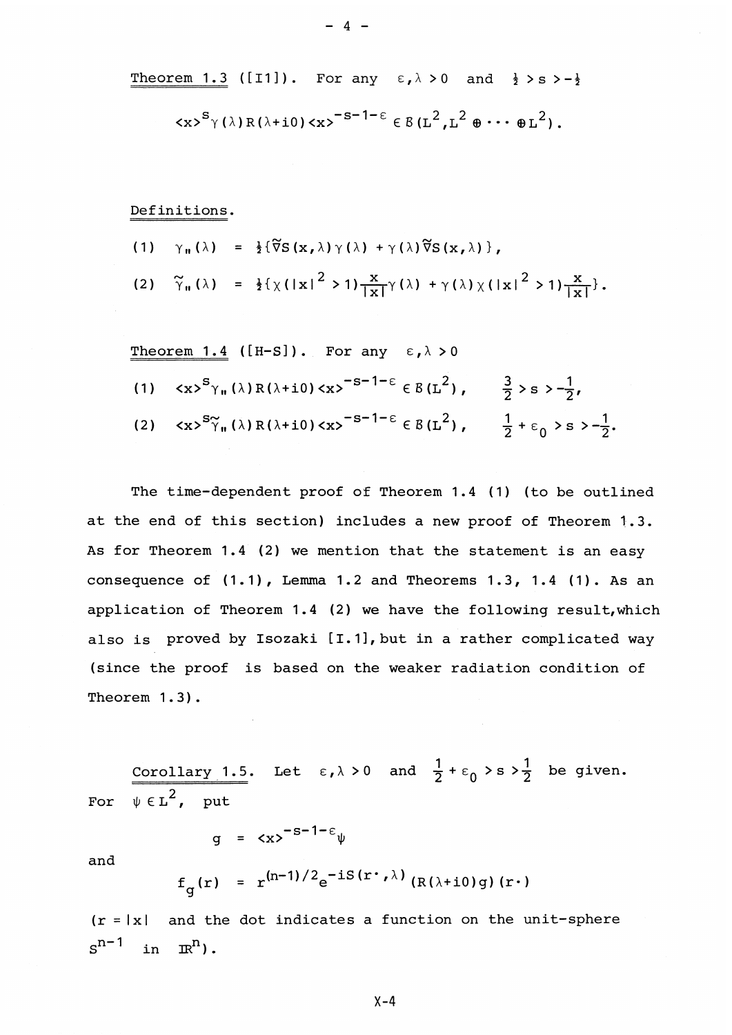Theorem 1.3 ([I1]). For any 
$$
\varepsilon, \lambda > 0
$$
 and  $\frac{1}{2} > s > -\frac{1}{2}$   
 $\langle x \rangle^{S} \gamma(\lambda) R(\lambda + i0) \langle x \rangle^{-S-1-\epsilon} \in B(L^{2}, L^{2} \oplus \cdots \oplus L^{2}).$ 

- 4 -

Definitions.

$$
(1) \quad \gamma_{\mathfrak{n}}(\lambda) = \frac{1}{2} \{ \widetilde{\nabla} S(x, \lambda) \gamma(\lambda) + \gamma(\lambda) \widetilde{\nabla} S(x, \lambda) \},
$$
\n
$$
(2) \quad \widetilde{\gamma}_{\mathfrak{n}}(\lambda) = \frac{1}{2} \{ \chi(|x|^{2} > 1) \frac{x}{|x|} \gamma(\lambda) + \gamma(\lambda) \chi(|x|^{2} > 1) \frac{x}{|x|} \}.
$$

Theorem 1.4 ([H-S]). For any  $\epsilon, \lambda > 0$ **(1)**  $\langle x \rangle^S \gamma_n(\lambda) R(\lambda + i0) \langle x \rangle^{-S-1-\epsilon} \in B(L^2)$ ,  $\frac{3}{2} \rangle S > -\frac{1}{2}$ , (2)  $\langle x \rangle^{S} \tilde{\gamma}_n(\lambda) R(\lambda + i0) \langle x \rangle^{-S-1-\epsilon} \in B(L^2)$ ,  $\frac{1}{2} + \epsilon_0 > s > -\frac{1}{2}$ .

The time-dependent proof of Theorem 1.4 (1) (to be outlined at the end of this section) includes a new proof of Theorem 1.3 . As for Theorem 1.4 (2) we mention that the statement is an easy consequence of (1.1), Lemma 1.2 and Theorems 1.3, 1.4 (1). As an application of Theorem 1.4 (2) we have the following result, which also is proved by Isozaki [I.1], but in a rather complicated way (since the proof is based on the weaker radiation condition of Theorem 1.3) .

Corollary 1.5. Let  $\varepsilon, \lambda > 0$  and  $\frac{1}{2} + \varepsilon_0 > s > \frac{1}{2}$  be given For  $\psi \in L^2$ , put

$$
g = \langle x \rangle^{-S-1-\epsilon} \psi
$$

and

$$
f_g(r) = r^{(n-1)/2} e^{-is(r \cdot \lambda)} (R(\lambda + i0)g)(r \cdot)
$$

 $(r = |x|)$  and the dot indicates a function on the unit-sphere  $s^{n-1}$ in  $\mathbb{R}^n$ ).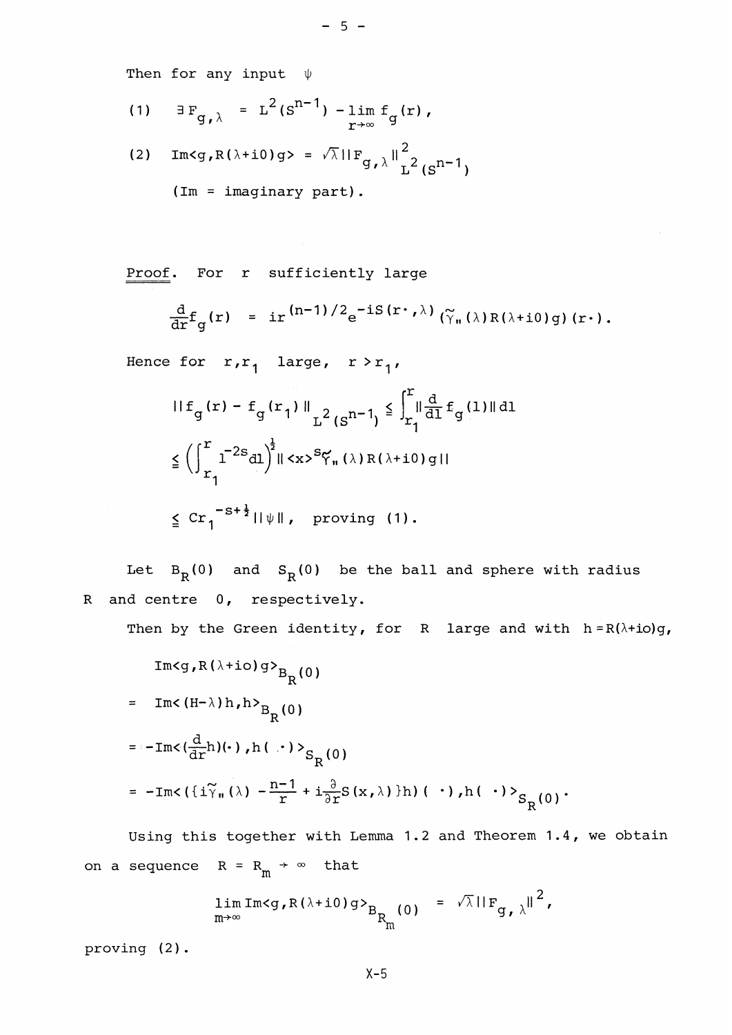Then for any input  $\psi$ 

- (1)  $\exists F$ ,  $= L^2 (S^{n-1}) \lim f$  (r),  $g_{\ell}$ <sup>y</sup> =  $\pi$  (s)  $\ell$  =  $\frac{1}{\gamma + \infty}$
- (2)  $Im < g, R(\lambda + i0)g> = \sqrt{\lambda} ||F_{g, \lambda}||_{L^2}^2_{c} n-1$ (Im = imaginary part).

Proof. For r sufficiently large

$$
\frac{d}{dr}f_g(r) = ir^{(n-1)/2}e^{-is(r \cdot \lambda)} (\tilde{\gamma}_n(\lambda)R(\lambda+i0)g)(r \cdot).
$$

Hence for  $r, r_1$  large,  $r > r_1$ ,

$$
\begin{aligned}\n\|\mathbf{f}_{g}(\mathbf{r}) - \mathbf{f}_{g}(\mathbf{r}_{1})\|_{\mathbf{L}^{2}(\mathbf{S}^{n-1})} &\leq \int_{\mathbf{r}_{1}}^{\mathbf{r}} \|\frac{\mathbf{d}}{\mathbf{d} \mathbf{l}} \mathbf{f}_{g}(\mathbf{l})\| \mathbf{d} \mathbf{l} \\
&\leq \left(\int_{\mathbf{r}_{1}}^{\mathbf{r}} \mathbf{l}^{-2\mathbf{s}} \mathbf{d} \mathbf{l}\right)^{\frac{1}{2}} \|\langle \mathbf{x} \rangle^{S} \zeta_{\mathbf{n}}(\lambda) \mathbf{R}(\lambda + \mathbf{i} \mathbf{0}) \mathbf{g} | \\
&\leq \mathbf{C} \mathbf{r}_{1}^{-S + \frac{1}{2}} \|\psi\|, \quad \text{proving (1).}\n\end{aligned}
$$

Let  $B^R(0)$  and  $S^R(0)$  be the ball and sphere with radius R and centre 0, respectively.

Then by the Green identity, for R large and with  $h = R(\lambda + i\sigma)g$ 

Then by the Green identity, for k large and with  
\n
$$
Im\langle g, R(\lambda + i\omega)g\rangle_{B_R(0)}
$$
\n
$$
= Im\langle (H-\lambda)h, h\rangle_{B_R(0)}
$$
\n
$$
= -Im\langle \frac{d}{dr}h| (\cdot), h(\cdot)\rangle_{S_R(0)}
$$
\n
$$
= -Im\langle (i\tilde{\gamma}_{n}(\lambda) - \frac{n-1}{r} + i\frac{\partial}{\partial r}S(x,\lambda))h| (\cdot), h(\cdot)\rangle_{S_R(0)}.
$$

Using this together with Lemma 1.2 and Theorem 1.4, we obtain on a sequence  $R = R_m \rightarrow \infty$  that

$$
\lim_{m\to\infty} \text{Im} \langle g, R(\lambda + i0) g \rangle_{B_{R_{m}}(0)} = \sqrt{\lambda} ||F_{g, \lambda}||^{2},
$$

proving (2) .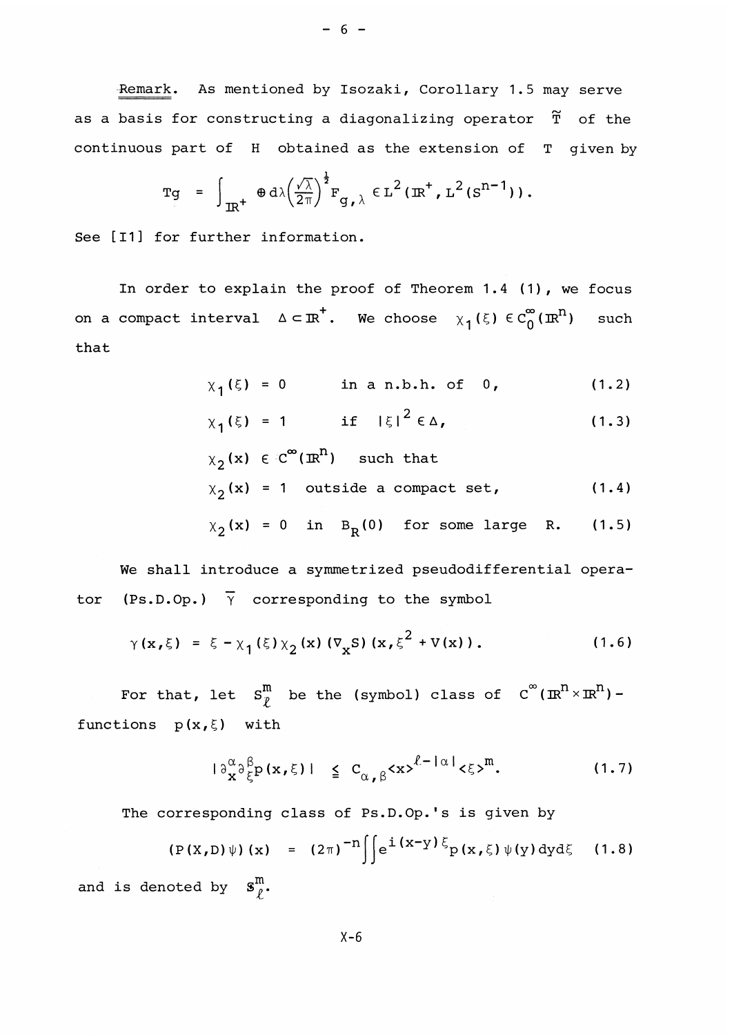Remark*.* As mentioned by Isozaki, Corollary 1.5 may serve as a basis for constructing a diagonalizing operator  $\tilde{T}$  of the continuous part of H obtained as the extension of T given by

$$
\mathrm{Tg} = \int_{\mathrm{IR}^{+}} \Phi \, \mathrm{d}\lambda \left(\frac{\sqrt{\lambda}}{2\pi}\right)^{\frac{1}{2}} \mathrm{F}_{\mathrm{g},\lambda} \in \mathrm{L}^{2}(\mathrm{IR}^{+},\mathrm{L}^{2}(\mathrm{S}^{\mathrm{n}-1})).
$$

See [11] for further information.

In order to explain the proof of Theorem 1.4 (1) , we focus on a compact interval  $\Delta \subset \mathbb{R}^+$ . We choose  $\chi_1(\xi) \in C_0^{\infty}(\mathbb{R}^n)$  such that

$$
\chi_1(\xi) = 0
$$
 in a n.b.h. of 0, (1.2)

$$
\chi_1(\xi) = 1 \quad \text{if} \quad |\xi|^2 \in \Delta, \tag{1.3}
$$

 $\chi_2(x) \in \mathbb{C}^{\infty}(\mathbb{R}^n)$  such that  $X_2(x) = 1$  outside a compact set, (1.4)

$$
\chi_2(\mathbf{x}) = 0 \quad \text{in} \quad B_R(0) \quad \text{for some large} \quad R. \tag{1.5}
$$

We shall introduce a symmetrized pseudodifferential operator (Ps.D.Op.)  $\bar{Y}$  corresponding to the symbol

$$
\gamma(x,\xi) = \xi - \chi_1(\xi) \chi_2(x) (\nabla_x S) (x, \xi^2 + V(x)).
$$
 (1.6)

For that, let  $\texttt{S}^\texttt{m}_p$  be the (symbol) class of  $\texttt{C}^\infty (\texttt{I\!R}^{\texttt{n}}\!\times\! \texttt{I\!R}^{\texttt{n}})$ functions **p(x,£;)** with

$$
|\partial_{\mathbf{x}}^{\alpha}\partial_{\xi}^{\beta}p(\mathbf{x},\xi)| \leq C_{\alpha,\beta} \langle \mathbf{x} \rangle^{\ell-|\alpha|} \langle \xi \rangle^{m}. \tag{1.7}
$$

The corresponding class of Ps.D.Op.'s is given by

$$
(P(X,D)\psi)(x) = (2\pi)^{-n} \int e^{i(x-y)\xi} p(x,\xi) \psi(y) dy d\xi
$$
 (1.8)  
and is denoted by  $\mathbf{S}_{\rho}^m$ .

 $- 6 -$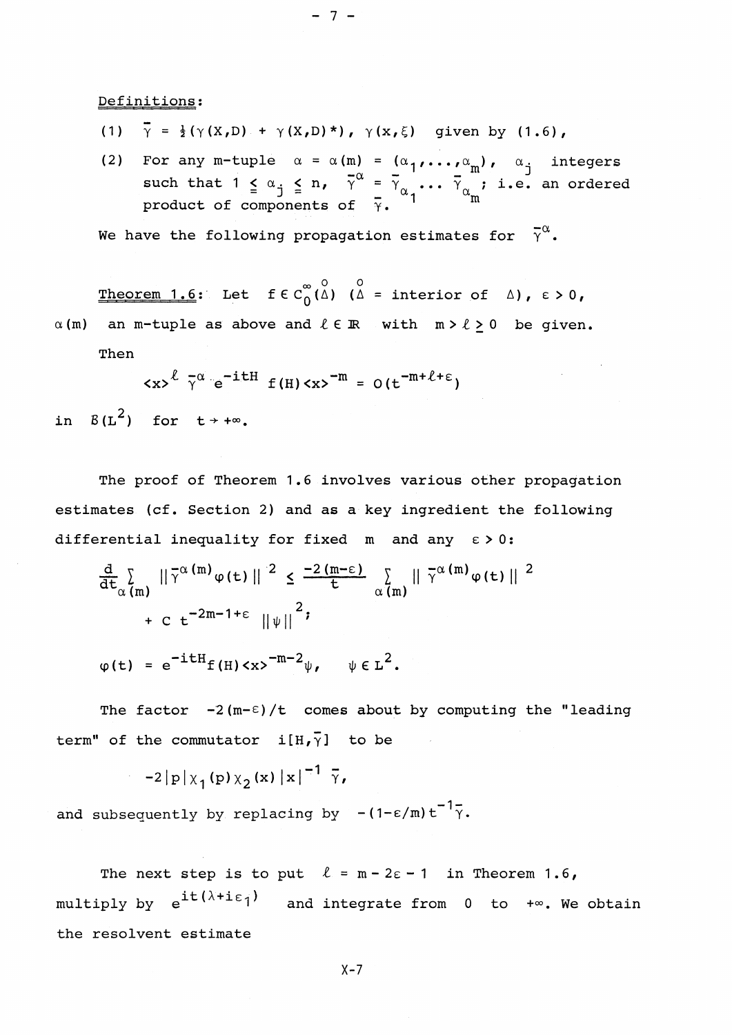# Definitions;

(1)  $\overline{\gamma} = \frac{1}{2}(\gamma(X,D) + \gamma(X,D)^*)$ ,  $\gamma(x,\xi)$  given by (1.6),

 $-7 -$ 

(2) For any m-tuple  $\alpha = \alpha(m) = (\alpha_1, \ldots, \alpha_m)$ ,  $\alpha_j$  integers such that  $1 \leq \alpha_j \leq n$ ,  $\overline{\gamma}^{\alpha} = \overline{\gamma}_{\alpha_1} \cdots \overline{\gamma}_{\alpha_m}$ ; i.e. an ordered product of components of  $\overline{\gamma}$ .

We have the following propagation estimates for  $\overline{Y}^{\alpha}$ .

Theorem 1.6: Let  $f \in C_0^{\infty}(\stackrel{0}{\Delta})$  ( $\stackrel{0}{\Delta}$  = interior of  $\Delta$ ),  $\varepsilon > 0$ ,  $\alpha$ (m) an m-tuple as above and  $\ell \in \mathbb{R}$  with  $m > \ell \geq 0$  be given.

Then

$$
\langle x \rangle^{\ell} \overline{\gamma}^{\alpha} e^{-i t H} f(H) \langle x \rangle^{-m} = O(t^{-m + \ell + \epsilon})
$$

in  $B(L^2)$  for  $t \rightarrow +\infty$ .

The proof of Theorem 1.6 involves various other propagation estimates (cf. Section 2) and as a key ingredient the following

differential inequality for fixed 
$$
m
$$
 and any  $\varepsilon > 0$ :

\n
$$
\frac{d}{dt} \sum_{\alpha(m)} ||\bar{\gamma}^{\alpha(m)} \varphi(t)||^{2} \leq \frac{-2(m-\varepsilon)}{\varepsilon} \sum_{\alpha(m)} ||\bar{\gamma}^{\alpha(m)} \varphi(t)||^{2}
$$
\n
$$
+ C t^{-2m-1+\varepsilon} ||\psi||^{2};
$$
\n
$$
\varphi(t) = e^{-itH} f(H) \langle x \rangle^{-m-2} \psi, \quad \psi \in L^{2}.
$$

The factor  $-2(m-\epsilon)/t$  comes about by computing the "leading term" of the commutator  $i[H,\bar{y}]$  to be

 $-2|p|\chi_1(p)\chi_2(x)|x|^{-1} \bar{\gamma}$ ,

and subsequently by replacing by  $-(1-\epsilon/m)t^{-1}\overline{\gamma}$ .

The next step is to put  $\ell = m - 2\varepsilon - 1$  in Theorem 1.6, multiply by  $\mathrm{e}^{\mathrm{i} \mathsf{t} \, (\lambda + \mathrm{i} \, \varepsilon_1)}$  and integrate from 0 to +∞. We obtain the resolvent estimate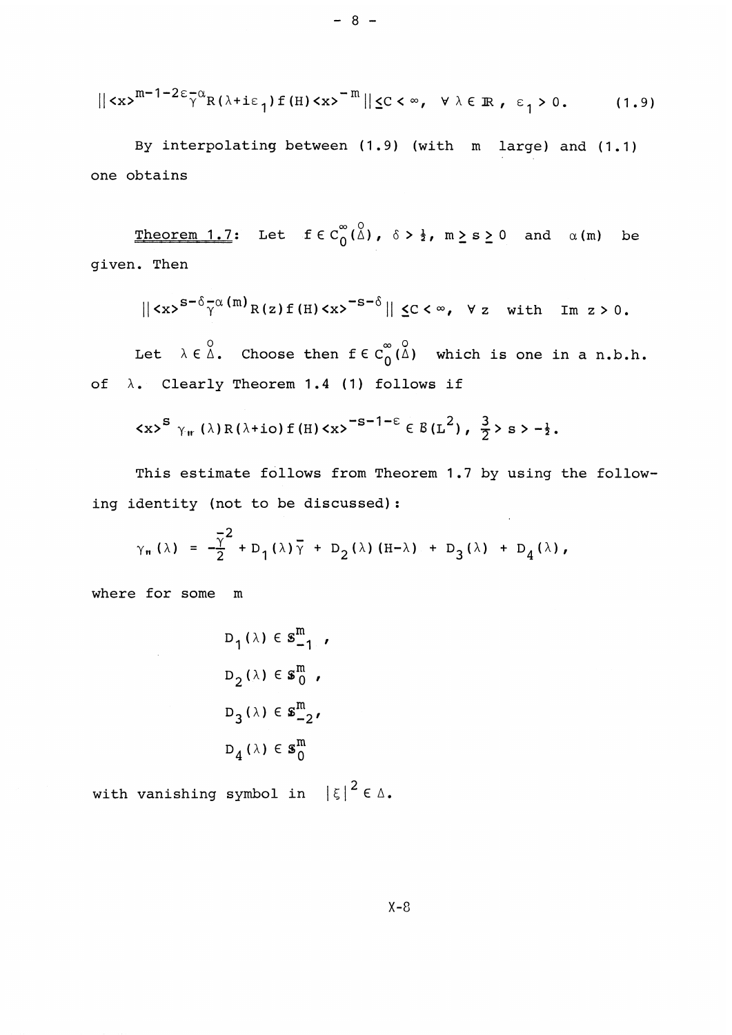$$
\|\langle x\rangle^{m-1-2\epsilon-\alpha}R(\lambda+i\epsilon_1)f(H)\langle x\rangle^{-m}\|\langle C\langle \infty, \ \forall \lambda\in \mathbb{R}, \ \epsilon_1>0. \tag{1.9}
$$

By interpolating between (1.9) (with m large) and (1.1) one obtains

Theorem 1.7: Let  $f \in C^{\infty}_0(\stackrel{0}{\Delta})$ ,  $\delta > \frac{1}{2}$ ,  $m \ge s \ge 0$  and  $\alpha(m)$  be given. Then

$$
\|\langle x\rangle^{S-\delta}\overline{\gamma}^{\alpha(m)}R(z)f(H)\langle x\rangle^{-S-\delta}\|\langle C\langle \infty, \forall z \text{ with } \text{Im } z\rangle 0.
$$

Let  $\lambda \in \mathfrak{A}$ . Choose then  $f \in C^{\infty}_0(\mathfrak{A})$  which is one in a n.b.h. of  $\lambda$ . Clearly Theorem 1.4 (1) follows if

$$
\langle x \rangle^{S} \gamma_{rr} (\lambda) R (\lambda + i \epsilon) f(H) \langle x \rangle^{-S-1-\epsilon} \in B(L^{2}), \frac{3}{2} \rangle s \rangle - \frac{1}{2}.
$$

This estimate follows from Theorem 1.7 by using the following identity (not to be discussed):

 $\bar{z}$ 

$$
\gamma_{\mathfrak{m}}(\lambda) = -\frac{\overline{\gamma}^2}{2} + D_1(\lambda)\overline{\gamma} + D_2(\lambda) (H-\lambda) + D_3(\lambda) + D_4(\lambda),
$$

where for some m

 $\sim 10^7$ 

$$
D_1(\lambda) \in \mathbf{S}_{-1}^m
$$
  

$$
D_2(\lambda) \in \mathbf{S}_0^m
$$
  

$$
D_3(\lambda) \in \mathbf{S}_{-2}^m
$$
  

$$
D_4(\lambda) \in \mathbf{S}_0^m
$$

with vanishing symbol in  $|\xi|^2 \in \Delta$ .

 $- 8 -$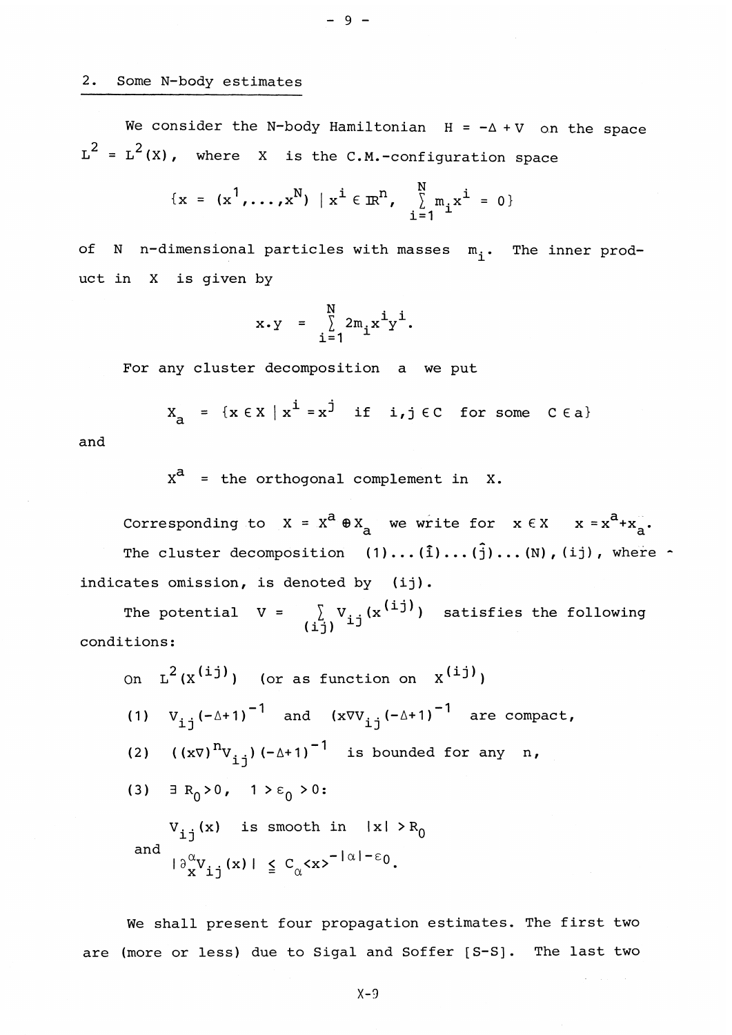## 2. Some N-body estimates

We consider the N-body Hamiltonian  $H = -\Delta + V$  on the space  $L^2 = L^2(X)$ , where X is the C.M.-configuration space

 $-9 -$ 

$$
\{x = (x^{1},...,x^{N}) | x^{i} \in \mathbb{R}^{N}, \sum_{i=1}^{N} m_{i} x^{i} = 0 \}
$$

of N n-dimensional particles with masses  $m_i$ . The inner product in X is given by

$$
x \cdot y = \sum_{i=1}^{N} 2m_i x^{i} y^{i}.
$$

For any cluster decomposition a we put

$$
X_{a} = \{x \in X \mid x^{i} = x^{j} \text{ if } i, j \in C \text{ for some } C \in a\}
$$

and

 $x^a$  = the orthogonal complement in X.

Corresponding to  $X = X^a \oplus X_a$  we write for  $x \in X$   $x = x^a + x_a^a$ . The cluster decomposition  $(1) \ldots (\hat{1}) \ldots (\hat{j}) \ldots (N)$ , (ij), where  $\hat{\cdot}$ indicates omission, is denoted by (ij).

The potential  $V = \sum_{i=1}^{n} V_{i,i}(x^{(i,j)})$  satisfies the following  $\int_{(\dot{\mathbf{i}}\dot{\mathbf{j}})}^{\lambda}$ <sup> $\mathbf{v}_{\dot{\mathbf{i}}}$ </sup> conditions:

on L<sup>2</sup>(x<sup>(ij)</sup>) (or as function on x<sup>(ij)</sup>)  
\n(1) V<sub>ij</sub>(-
$$
\Delta
$$
+1)<sup>-1</sup> and (xVV<sub>ij</sub>(- $\Delta$ +1)<sup>-1</sup> are compact  
\n(2) ((xV)<sup>n</sup>V<sub>ij</sub>) (- $\Delta$ +1)<sup>-1</sup> is bounded for any n,  
\n(3)  $\exists R_0 > 0$ , 1 >  $\epsilon_0 > 0$ :  
\nV<sub>ij</sub>(x) is smooth in |x| > R<sub>0</sub>  
\nand  $|\partial_x^{\alpha}V_{ij}(x)| \le C_{\alpha} \langle x \rangle^{-|\alpha|-\epsilon_0}$ .

We shall present four propagation estimates. The first two are (more or less) due to Sigal and Soffer [S-S]. The last two

X-9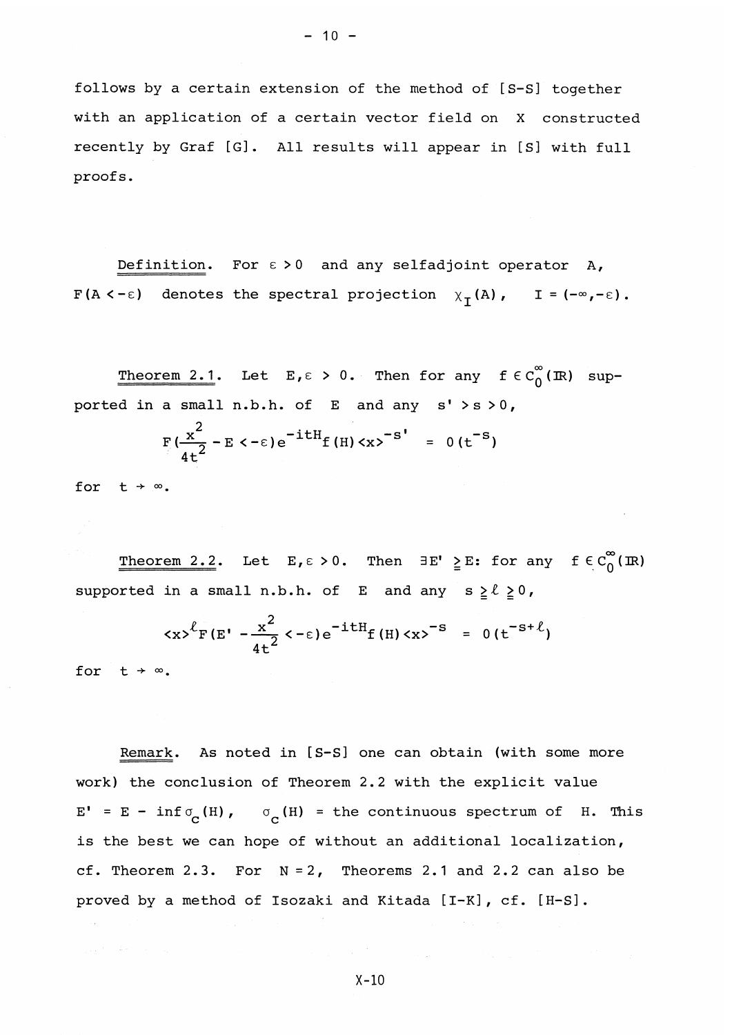follows by a certain extension of the method of [S-S] together with an application of a certain vector field on X constructed recently by Graf [G]. All results will appear in [S] with full proofs.

Definition. For  $\epsilon > 0$  and any selfadjoint operator A,  $F(A \leq -\epsilon)$  denotes the spectral projection  $\chi_T(A)$ , I =  $(-\infty, -\epsilon)$ .

Theorem 2.1. Let  $E, \epsilon > 0$ . Then for any  $f \in C_0^{\infty}(\mathbb{R})$  supported in a small n.b.h. of E and any s' >s >0 ,

$$
F(\frac{x^2}{4t^2} - E < -\epsilon) e^{-i t H} f(H) < x >^{-S'} = 0 (t^{-S})
$$

for  $t \rightarrow \infty$ .

Theorem 2.2. Let  $E, \epsilon > 0$ . Then  $\exists E' \geq E:$  for any  $f \in C_0^{\infty}(\mathbb{R})$ supported in a small n.b.h. of E and any  $s \ge \ell \ge 0$ ,

$$
\langle x \rangle^{\ell} F(E' - \frac{x^2}{4t^2} \langle -\epsilon \rangle e^{-itH} f(H) \langle x \rangle^{-S} = 0 (t^{-s+\ell})
$$

for  $t \rightarrow \infty$ .

Remark. As noted in [S-S] one can obtain (with some more work) the conclusion of Theorem 2. 2 with the explicit value E' = E -  $\inf \sigma^{\;}_{\mathbf{C}}(H)$ ,  $\sigma^{\;}_{\mathbf{C}}(H)$  = the continuous spectrum of H. This is the best we can hope of without an additional localization, cf. Theorem 2.3. For  $N = 2$ , Theorems 2.1 and 2.2 can also be proved by a method of Isozaki and Kitada [I-K] , cf. [H-S] .

X-10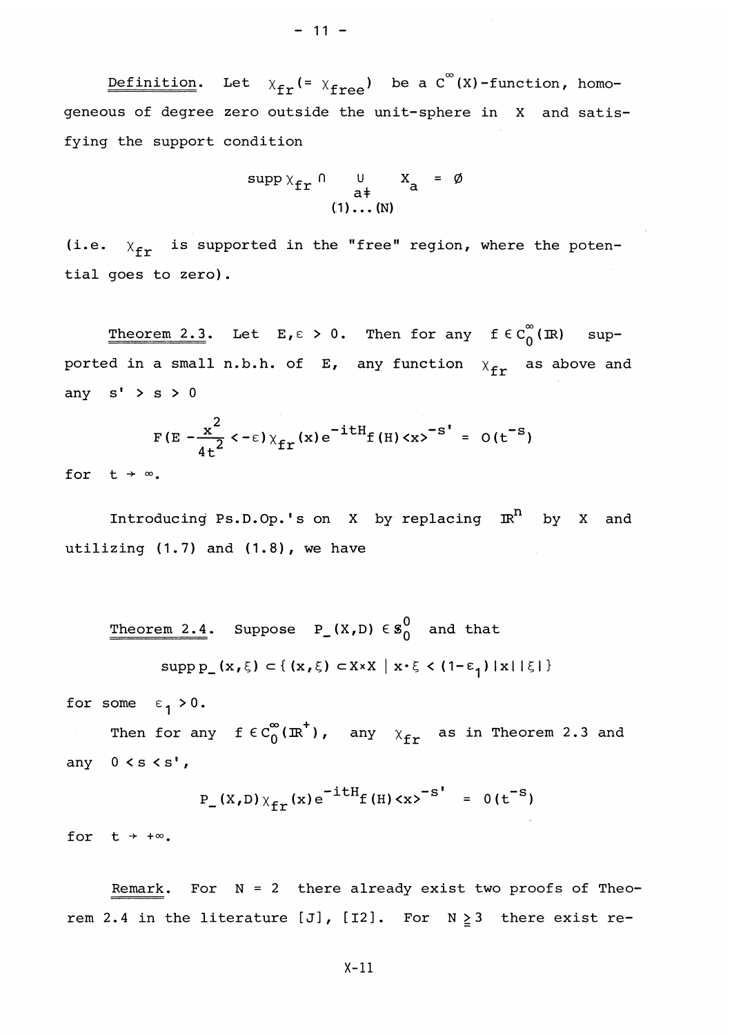<u>Definition</u>. Let  $\chi_{\texttt{fr}}(= \chi_{\texttt{free}})$  be a  $C^{\infty}(X)$ -function, homogeneous of degree zero outside the unit-sphere in X and satisfying the support condition

$$
\operatorname{supp} \chi_{\text{fr}} \cap \bigcup_{\substack{a \neq b \\ (1) \dots (N)}} X_a = \emptyset
$$

(i.e.  $x^{\text{f}}_{\text{fr}}$  is supported in the "free" region, where the potential goes to zero).

Theorem 2.3. Let  $E, \epsilon > 0$ . Then for any  $f \in C_0^{\infty}(\mathbb{R})$  supported in a small n.b.h. of E, any function  $x_{fr}$  as above and any  $s' > s > 0$ 

$$
F(E - \frac{x^2}{4t^2} < -\epsilon) \chi_{\text{fr}}(x) e^{-itH} f(H) < x>^{-s'} = O(t^{-s})
$$

for  $t \rightarrow \infty$ .

Introducing Ps.D.Op.'s on X by replacing IR<sup>11</sup> by X and utilizing  $(1.7)$  and  $(1.8)$ , we have

Theorem 2.4. Suppose  $P_{-}(X,D) \in S_0^0$  and that

$$
\text{supp}\,\mathbf{p}_{\perp}(\mathbf{x},\xi) \subset \{(\mathbf{x},\xi) \subset \mathbf{X} \times \mathbf{X} \mid \mathbf{x} \cdot \xi < (1-\varepsilon_1) \mid \mathbf{x} \mid \xi\}
$$

for some  $\varepsilon_1 > 0$ .

Then for any  $f \in C_0^{\infty}(\mathbb{R}^+)$ , any  $\chi_{\text{fr}}$  as in Theorem 2.3 and any  $0 < s < s'$ ,

$$
P_{-}(X,D) \chi_{fr}(x) e^{-i t H_{f}(H) \langle x \rangle^{-S'}} = 0 (t^{-S})
$$

for  $t + \infty$ .

Remark. For  $N = 2$  there already exist two proofs of Theorem 2.4 in the literature [J], [I2]. For  $N \geq 3$  there exist re-

X-ll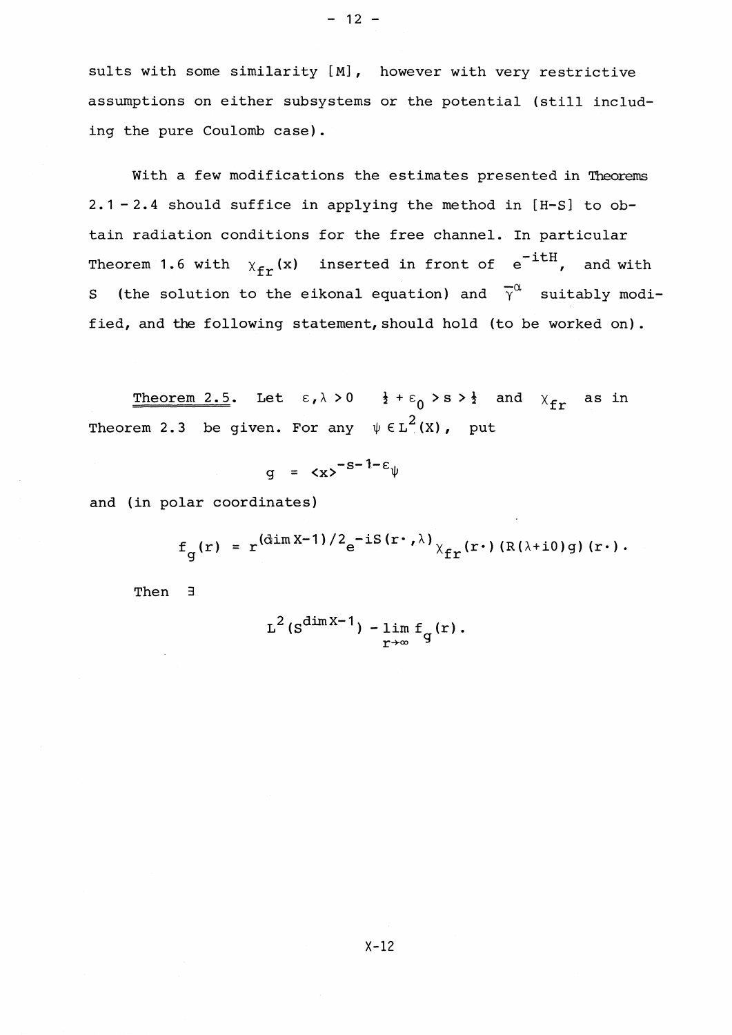sults with some similarity [M], however with very restrictive assumptions on either subsystems or the potential (still including the pure Coulomb case).

With a few modifications the estimates presented in Theorems 2 . 1 -2. 4 should suffice in applying the method in [H-S] to obtain radiation conditions for the free channel. In particular Theorem 1.6 with  $\chi_{\texttt{fr}}(x)$  inserted in front of  $e^{-itH}$ , and with S (the solution to the eikonal equation) and  $\overline{\gamma}^{\alpha}$  suitably modified, and the following statement, should hold (to be worked on).

Theorem 2.5. Let  $\varepsilon, \lambda > 0$   $\frac{1}{2} + \varepsilon_0 > s > \frac{1}{2}$  and  $\chi_{\text{fr}}$  as in Theorem 2.3 be given. For any  $\psi \in L^2(X)$ , put

$$
g = \langle x \rangle^{-s-1-\epsilon} \psi
$$

and (in polar coordinates)

$$
f_g(r) = r^{\left(\dim X - 1\right)/2} e^{-iS(r \cdot \lambda)} \chi_{fr}(r \cdot) \left(R(\lambda + i0)g\right)(r \cdot).
$$

Then 3

$$
L^2(s^{\dim X-1}) - \lim_{r\to\infty} f_q(r).
$$

 $-12 -$